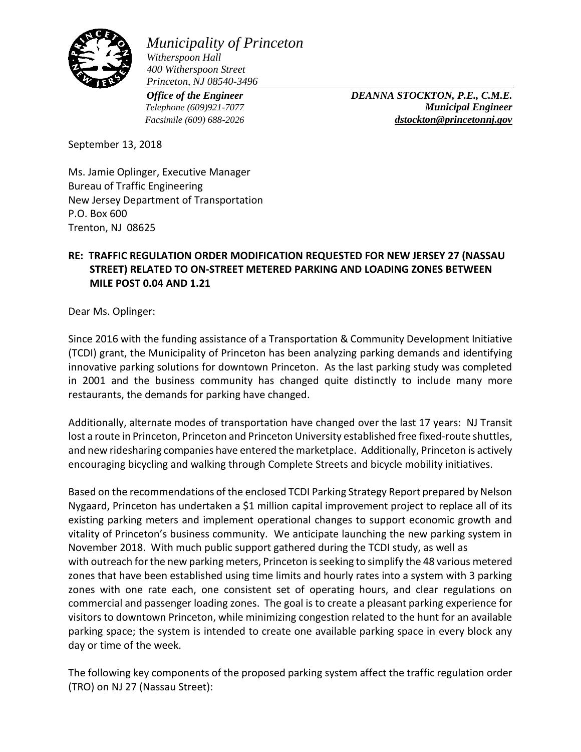

*Municipality of Princeton Witherspoon Hall 400 Witherspoon Street Princeton, NJ 08540-3496*

*Office of the Engineer DEANNA STOCKTON, P.E., C.M.E. Telephone (609)921-7077 Municipal Engineer Facsimile (609) 688-2026 [dstockton@princetonnj.gov](mailto:dstockton@princetonnj.gov)*

September 13, 2018

Ms. Jamie Oplinger, Executive Manager Bureau of Traffic Engineering New Jersey Department of Transportation P.O. Box 600 Trenton, NJ 08625

## **RE: TRAFFIC REGULATION ORDER MODIFICATION REQUESTED FOR NEW JERSEY 27 (NASSAU STREET) RELATED TO ON-STREET METERED PARKING AND LOADING ZONES BETWEEN MILE POST 0.04 AND 1.21**

Dear Ms. Oplinger:

Since 2016 with the funding assistance of a Transportation & Community Development Initiative (TCDI) grant, the Municipality of Princeton has been analyzing parking demands and identifying innovative parking solutions for downtown Princeton. As the last parking study was completed in 2001 and the business community has changed quite distinctly to include many more restaurants, the demands for parking have changed.

Additionally, alternate modes of transportation have changed over the last 17 years: NJ Transit lost a route in Princeton, Princeton and Princeton University established free fixed-route shuttles, and new ridesharing companies have entered the marketplace. Additionally, Princeton is actively encouraging bicycling and walking through Complete Streets and bicycle mobility initiatives.

Based on the recommendations of the enclosed TCDI Parking Strategy Report prepared by Nelson Nygaard, Princeton has undertaken a \$1 million capital improvement project to replace all of its existing parking meters and implement operational changes to support economic growth and vitality of Princeton's business community. We anticipate launching the new parking system in November 2018. With much public support gathered during the TCDI study, as well as with outreach for the new parking meters, Princeton is seeking to simplify the 48 various metered zones that have been established using time limits and hourly rates into a system with 3 parking zones with one rate each, one consistent set of operating hours, and clear regulations on commercial and passenger loading zones. The goal is to create a pleasant parking experience for visitors to downtown Princeton, while minimizing congestion related to the hunt for an available parking space; the system is intended to create one available parking space in every block any day or time of the week.

The following key components of the proposed parking system affect the traffic regulation order (TRO) on NJ 27 (Nassau Street):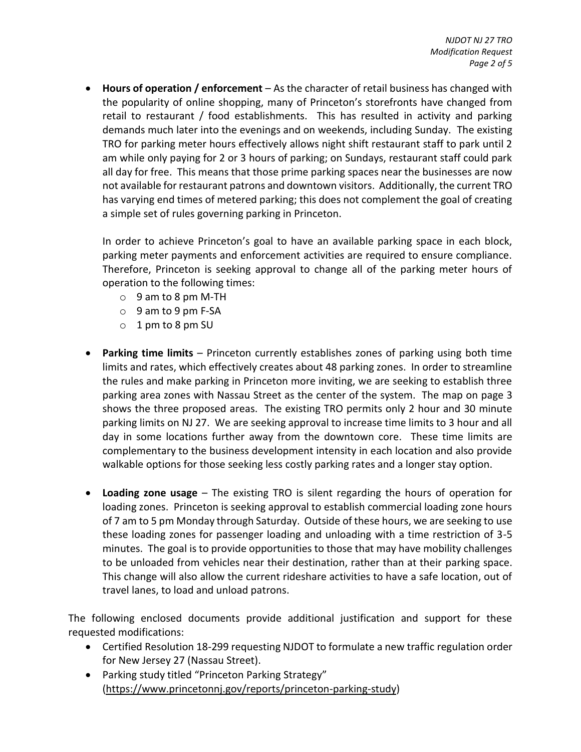**Hours of operation / enforcement** – As the character of retail business has changed with the popularity of online shopping, many of Princeton's storefronts have changed from retail to restaurant / food establishments. This has resulted in activity and parking demands much later into the evenings and on weekends, including Sunday. The existing TRO for parking meter hours effectively allows night shift restaurant staff to park until 2 am while only paying for 2 or 3 hours of parking; on Sundays, restaurant staff could park all day for free. This means that those prime parking spaces near the businesses are now not available for restaurant patrons and downtown visitors. Additionally, the current TRO has varying end times of metered parking; this does not complement the goal of creating a simple set of rules governing parking in Princeton.

In order to achieve Princeton's goal to have an available parking space in each block, parking meter payments and enforcement activities are required to ensure compliance. Therefore, Princeton is seeking approval to change all of the parking meter hours of operation to the following times:

- o 9 am to 8 pm M-TH
- o 9 am to 9 pm F-SA
- o 1 pm to 8 pm SU
- **Parking time limits** Princeton currently establishes zones of parking using both time limits and rates, which effectively creates about 48 parking zones. In order to streamline the rules and make parking in Princeton more inviting, we are seeking to establish three parking area zones with Nassau Street as the center of the system. The map on page 3 shows the three proposed areas. The existing TRO permits only 2 hour and 30 minute parking limits on NJ 27. We are seeking approval to increase time limits to 3 hour and all day in some locations further away from the downtown core. These time limits are complementary to the business development intensity in each location and also provide walkable options for those seeking less costly parking rates and a longer stay option.
- **Loading zone usage** The existing TRO is silent regarding the hours of operation for loading zones. Princeton is seeking approval to establish commercial loading zone hours of 7 am to 5 pm Monday through Saturday. Outside of these hours, we are seeking to use these loading zones for passenger loading and unloading with a time restriction of 3-5 minutes. The goal is to provide opportunities to those that may have mobility challenges to be unloaded from vehicles near their destination, rather than at their parking space. This change will also allow the current rideshare activities to have a safe location, out of travel lanes, to load and unload patrons.

The following enclosed documents provide additional justification and support for these requested modifications:

- Certified Resolution 18-299 requesting NJDOT to formulate a new traffic regulation order for New Jersey 27 (Nassau Street).
- Parking study titled "Princeton Parking Strategy" [\(https://www.princetonnj.gov/reports/princeton-parking-study\)](https://www.princetonnj.gov/reports/princeton-parking-study)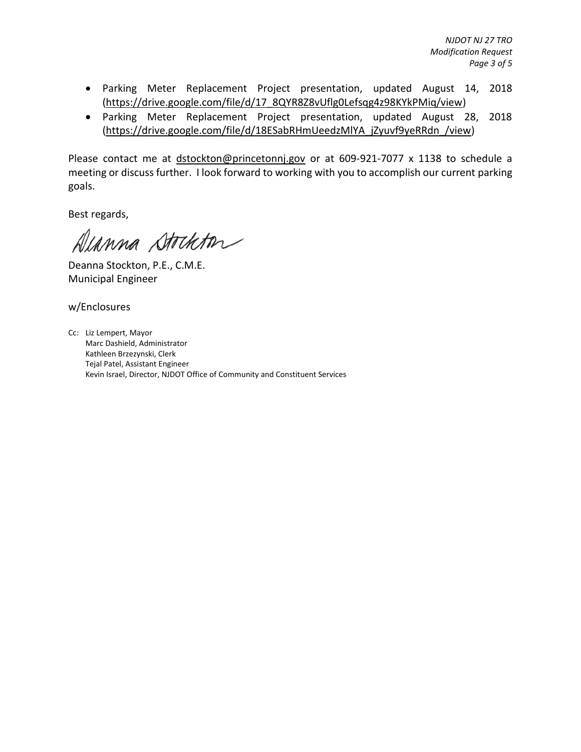*NJDOT NJ 27 TRO Modification Request Page 3 of 5*

- Parking Meter Replacement Project presentation, updated August 14, 2018 [\(https://drive.google.com/file/d/17\\_8QYR8Z8vUflg0Lefsqg4z98KYkPMiq/view\)](https://drive.google.com/file/d/17_8QYR8Z8vUflg0Lefsqg4z98KYkPMiq/view)
- Parking Meter Replacement Project presentation, updated August 28, 2018 [\(https://drive.google.com/file/d/18ESabRHmUeedzMlYA\\_jZyuvf9yeRRdn\\_/view\)](https://drive.google.com/file/d/18ESabRHmUeedzMlYA_jZyuvf9yeRRdn_/view)

Please contact me at [dstockton@princetonnj.gov](mailto:dstockton@princetonnj.gov) or at 609-921-7077 x 1138 to schedule a meeting or discuss further. I look forward to working with you to accomplish our current parking goals.

Best regards,

Alanna Stockton

Deanna Stockton, P.E., C.M.E. Municipal Engineer

w/Enclosures

Cc: Liz Lempert, Mayor Marc Dashield, Administrator Kathleen Brzezynski, Clerk Tejal Patel, Assistant Engineer Kevin Israel, Director, NJDOT Office of Community and Constituent Services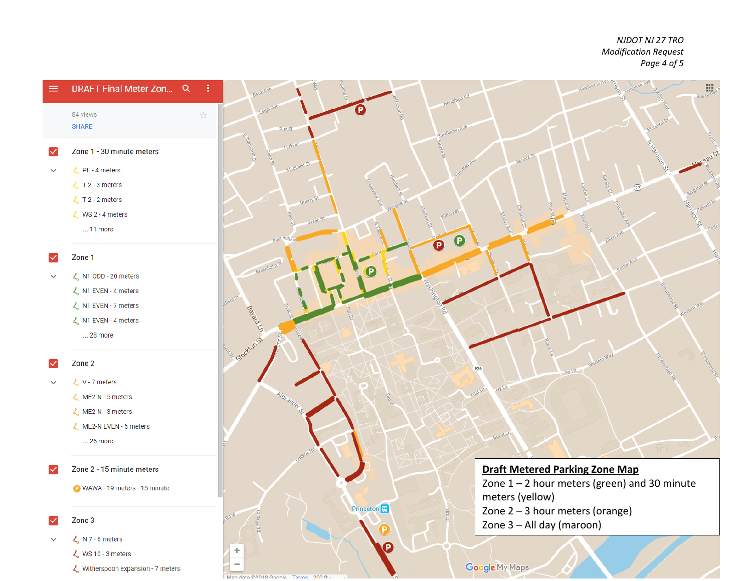*NJDOT NJ 27 TRO Modification Request Page 4 of 5*